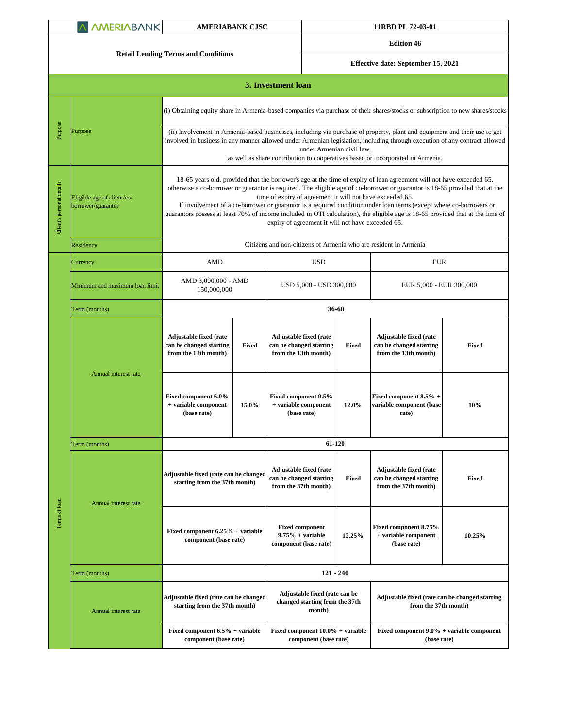| <b><i>AMERIABANK</i></b>  |                                                  | <b>AMERIABANK CJSC</b>                                                                                                                                                                                                                                                                                                                                                                                                                                                                                                                                                                                                          |                                                                  |                                                                                  | 11RBD PL 72-03-01                                            |                                                                                  |                                                             |  |  |
|---------------------------|--------------------------------------------------|---------------------------------------------------------------------------------------------------------------------------------------------------------------------------------------------------------------------------------------------------------------------------------------------------------------------------------------------------------------------------------------------------------------------------------------------------------------------------------------------------------------------------------------------------------------------------------------------------------------------------------|------------------------------------------------------------------|----------------------------------------------------------------------------------|--------------------------------------------------------------|----------------------------------------------------------------------------------|-------------------------------------------------------------|--|--|
|                           |                                                  | <b>Retail Lending Terms and Conditions</b>                                                                                                                                                                                                                                                                                                                                                                                                                                                                                                                                                                                      |                                                                  |                                                                                  | <b>Edition 46</b>                                            |                                                                                  |                                                             |  |  |
|                           |                                                  |                                                                                                                                                                                                                                                                                                                                                                                                                                                                                                                                                                                                                                 |                                                                  | Effective date: September 15, 2021                                               |                                                              |                                                                                  |                                                             |  |  |
|                           |                                                  |                                                                                                                                                                                                                                                                                                                                                                                                                                                                                                                                                                                                                                 |                                                                  | 3. Investment loan                                                               |                                                              |                                                                                  |                                                             |  |  |
| Purpose                   | Purpose                                          | (i) Obtaining equity share in Armenia-based companies via purchase of their shares/stocks or subscription to new shares/stocks                                                                                                                                                                                                                                                                                                                                                                                                                                                                                                  |                                                                  |                                                                                  |                                                              |                                                                                  |                                                             |  |  |
|                           |                                                  | (ii) Involvement in Armenia-based businesses, including via purchase of property, plant and equipment and their use to get<br>involved in business in any manner allowed under Armenian legislation, including through execution of any contract allowed<br>under Armenian civil law,<br>as well as share contribution to cooperatives based or incorporated in Armenia.                                                                                                                                                                                                                                                        |                                                                  |                                                                                  |                                                              |                                                                                  |                                                             |  |  |
| Client's personal details | Eligible age of client/co-<br>borrower/guarantor | 18-65 years old, provided that the borrower's age at the time of expiry of loan agreement will not have exceeded 65,<br>otherwise a co-borrower or guarantor is required. The eligible age of co-borrower or guarantor is 18-65 provided that at the<br>time of expiry of agreement it will not have exceeded 65.<br>If involvement of a co-borrower or guarantor is a required condition under loan terms (except where co-borrowers or<br>guarantors possess at least 70% of income included in OTI calculation), the eligible age is 18-65 provided that at the time of<br>expiry of agreement it will not have exceeded 65. |                                                                  |                                                                                  |                                                              |                                                                                  |                                                             |  |  |
|                           | Residency                                        |                                                                                                                                                                                                                                                                                                                                                                                                                                                                                                                                                                                                                                 | Citizens and non-citizens of Armenia who are resident in Armenia |                                                                                  |                                                              |                                                                                  |                                                             |  |  |
|                           | Currency                                         | <b>AMD</b>                                                                                                                                                                                                                                                                                                                                                                                                                                                                                                                                                                                                                      |                                                                  | <b>USD</b>                                                                       |                                                              | <b>EUR</b>                                                                       |                                                             |  |  |
|                           | Minimum and maximum loan limit                   | AMD 3,000,000 - AMD<br>150,000,000                                                                                                                                                                                                                                                                                                                                                                                                                                                                                                                                                                                              |                                                                  | USD 5,000 - USD 300,000                                                          |                                                              | EUR 5,000 - EUR 300,000                                                          |                                                             |  |  |
|                           | Term (months)                                    |                                                                                                                                                                                                                                                                                                                                                                                                                                                                                                                                                                                                                                 |                                                                  | 36-60                                                                            |                                                              |                                                                                  |                                                             |  |  |
| Terms of loan             | Annual interest rate                             | Adjustable fixed (rate<br>can be changed starting<br>from the 13th month)                                                                                                                                                                                                                                                                                                                                                                                                                                                                                                                                                       | <b>Fixed</b>                                                     | Adjustable fixed (rate<br>can be changed starting<br>from the 13th month)        | Fixed                                                        | Adjustable fixed (rate<br>can be changed starting<br>from the 13th month)        | <b>Fixed</b>                                                |  |  |
|                           |                                                  | Fixed component 6.0%<br>+ variable component<br>(base rate)                                                                                                                                                                                                                                                                                                                                                                                                                                                                                                                                                                     | 15.0%                                                            | Fixed component 9.5%<br>+ variable component<br>(base rate)                      | 12.0%                                                        | Fixed component 8.5% +<br>variable component (base<br>rate)                      | 10%                                                         |  |  |
|                           | Term (months)                                    |                                                                                                                                                                                                                                                                                                                                                                                                                                                                                                                                                                                                                                 |                                                                  | 61-120                                                                           |                                                              |                                                                                  |                                                             |  |  |
|                           | Annual interest rate                             | Adjustable fixed (rate can be changed<br>starting from the 37th month)                                                                                                                                                                                                                                                                                                                                                                                                                                                                                                                                                          |                                                                  | <b>Adjustable fixed (rate</b><br>can be changed starting<br>from the 37th month) | Fixed                                                        | <b>Adjustable fixed (rate</b><br>can be changed starting<br>from the 37th month) | Fixed                                                       |  |  |
|                           |                                                  | Fixed component $6.25%$ + variable<br>component (base rate)                                                                                                                                                                                                                                                                                                                                                                                                                                                                                                                                                                     |                                                                  | <b>Fixed component</b><br>$9.75\%$ + variable<br>component (base rate)           | 12.25%                                                       | Fixed component 8.75%<br>+ variable component<br>(base rate)                     | 10.25%                                                      |  |  |
|                           | Term (months)                                    | $121 - 240$                                                                                                                                                                                                                                                                                                                                                                                                                                                                                                                                                                                                                     |                                                                  |                                                                                  |                                                              |                                                                                  |                                                             |  |  |
|                           | Annual interest rate                             | Adjustable fixed (rate can be changed<br>starting from the 37th month)                                                                                                                                                                                                                                                                                                                                                                                                                                                                                                                                                          |                                                                  | Adjustable fixed (rate can be<br>changed starting from the 37th<br>month)        |                                                              | Adjustable fixed (rate can be changed starting<br>from the 37th month)           |                                                             |  |  |
|                           |                                                  | Fixed component $6.5%$ + variable<br>component (base rate)                                                                                                                                                                                                                                                                                                                                                                                                                                                                                                                                                                      |                                                                  |                                                                                  | Fixed component $10.0\%$ + variable<br>component (base rate) |                                                                                  | Fixed component $9.0\%$ + variable component<br>(base rate) |  |  |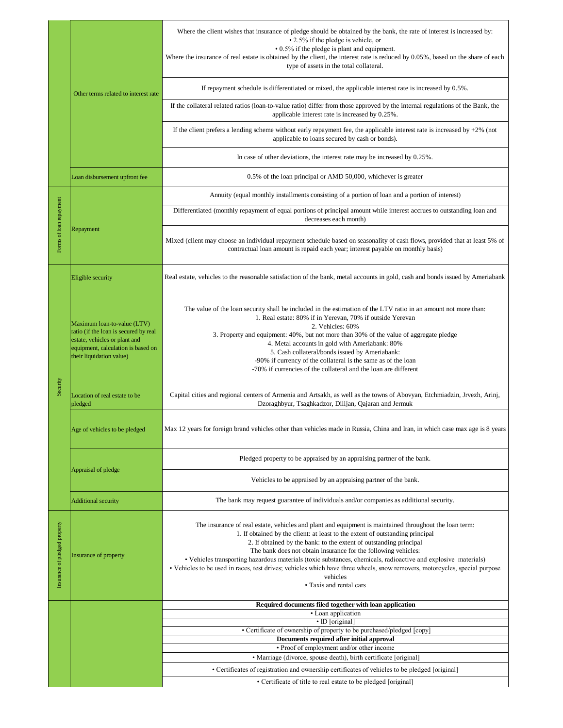|                               | Other terms related to interest rate                                                                                                                                    | Where the client wishes that insurance of pledge should be obtained by the bank, the rate of interest is increased by:<br>• 2.5% if the pledge is vehicle, or<br>• 0.5% if the pledge is plant and equipment.<br>Where the insurance of real estate is obtained by the client, the interest rate is reduced by 0.05%, based on the share of each<br>type of assets in the total collateral.                                                                                                                                                                                                                            |  |  |  |
|-------------------------------|-------------------------------------------------------------------------------------------------------------------------------------------------------------------------|------------------------------------------------------------------------------------------------------------------------------------------------------------------------------------------------------------------------------------------------------------------------------------------------------------------------------------------------------------------------------------------------------------------------------------------------------------------------------------------------------------------------------------------------------------------------------------------------------------------------|--|--|--|
|                               |                                                                                                                                                                         | If repayment schedule is differentiated or mixed, the applicable interest rate is increased by 0.5%.                                                                                                                                                                                                                                                                                                                                                                                                                                                                                                                   |  |  |  |
|                               |                                                                                                                                                                         | If the collateral related ratios (loan-to-value ratio) differ from those approved by the internal regulations of the Bank, the<br>applicable interest rate is increased by 0.25%.                                                                                                                                                                                                                                                                                                                                                                                                                                      |  |  |  |
|                               |                                                                                                                                                                         | If the client prefers a lending scheme without early repayment fee, the applicable interest rate is increased by $+2\%$ (not<br>applicable to loans secured by cash or bonds).                                                                                                                                                                                                                                                                                                                                                                                                                                         |  |  |  |
|                               |                                                                                                                                                                         | In case of other deviations, the interest rate may be increased by 0.25%.                                                                                                                                                                                                                                                                                                                                                                                                                                                                                                                                              |  |  |  |
|                               | Loan disbursement upfront fee                                                                                                                                           | 0.5% of the loan principal or AMD 50,000, whichever is greater                                                                                                                                                                                                                                                                                                                                                                                                                                                                                                                                                         |  |  |  |
|                               | Repayment                                                                                                                                                               | Annuity (equal monthly installments consisting of a portion of loan and a portion of interest)                                                                                                                                                                                                                                                                                                                                                                                                                                                                                                                         |  |  |  |
| Forms of loan repayment       |                                                                                                                                                                         | Differentiated (monthly repayment of equal portions of principal amount while interest accrues to outstanding loan and<br>decreases each month)                                                                                                                                                                                                                                                                                                                                                                                                                                                                        |  |  |  |
|                               |                                                                                                                                                                         | Mixed (client may choose an individual repayment schedule based on seasonality of cash flows, provided that at least 5% of<br>contractual loan amount is repaid each year; interest payable on monthly basis)                                                                                                                                                                                                                                                                                                                                                                                                          |  |  |  |
| Security                      | Eligible security                                                                                                                                                       | Real estate, vehicles to the reasonable satisfaction of the bank, metal accounts in gold, cash and bonds issued by Ameriabank                                                                                                                                                                                                                                                                                                                                                                                                                                                                                          |  |  |  |
|                               | Maximum loan-to-value (LTV)<br>ratio (if the loan is secured by real<br>estate, vehicles or plant and<br>equipment, calculation is based on<br>their liquidation value) | The value of the loan security shall be included in the estimation of the LTV ratio in an amount not more than:<br>1. Real estate: 80% if in Yerevan, 70% if outside Yerevan<br>2. Vehicles: 60%<br>3. Property and equipment: 40%, but not more than 30% of the value of aggregate pledge<br>4. Metal accounts in gold with Ameriabank: 80%<br>5. Cash collateral/bonds issued by Ameriabank:<br>-90% if currency of the collateral is the same as of the loan<br>-70% if currencies of the collateral and the loan are different                                                                                     |  |  |  |
|                               | Location of real estate to be<br>pledged                                                                                                                                | Capital cities and regional centers of Armenia and Artsakh, as well as the towns of Abovyan, Etchmiadzin, Jrvezh, Arinj,<br>Dzoraghbyur, Tsaghkadzor, Dilijan, Qajaran and Jermuk                                                                                                                                                                                                                                                                                                                                                                                                                                      |  |  |  |
|                               | Age of vehicles to be pledged                                                                                                                                           | Max 12 years for foreign brand vehicles other than vehicles made in Russia, China and Iran, in which case max age is 8 years                                                                                                                                                                                                                                                                                                                                                                                                                                                                                           |  |  |  |
|                               | Appraisal of pledge                                                                                                                                                     | Pledged property to be appraised by an appraising partner of the bank.                                                                                                                                                                                                                                                                                                                                                                                                                                                                                                                                                 |  |  |  |
|                               |                                                                                                                                                                         | Vehicles to be appraised by an appraising partner of the bank.                                                                                                                                                                                                                                                                                                                                                                                                                                                                                                                                                         |  |  |  |
|                               | <b>Additional security</b>                                                                                                                                              | The bank may request guarantee of individuals and/or companies as additional security.                                                                                                                                                                                                                                                                                                                                                                                                                                                                                                                                 |  |  |  |
| Insurance of pledged property | Insurance of property                                                                                                                                                   | The insurance of real estate, vehicles and plant and equipment is maintained throughout the loan term:<br>1. If obtained by the client: at least to the extent of outstanding principal<br>2. If obtained by the bank: to the extent of outstanding principal<br>The bank does not obtain insurance for the following vehicles:<br>• Vehicles transporting hazardous materials (toxic substances, chemicals, radioactive and explosive materials)<br>· Vehicles to be used in races, test drives; vehicles which have three wheels, snow removers, motorcycles, special purpose<br>vehicles<br>• Taxis and rental cars |  |  |  |
|                               |                                                                                                                                                                         | Required documents filed together with loan application<br>• Loan application                                                                                                                                                                                                                                                                                                                                                                                                                                                                                                                                          |  |  |  |
|                               | • ID [original]<br>• Certificate of ownership of property to be purchased/pledged [copy]                                                                                |                                                                                                                                                                                                                                                                                                                                                                                                                                                                                                                                                                                                                        |  |  |  |
|                               |                                                                                                                                                                         | Documents required after initial approval                                                                                                                                                                                                                                                                                                                                                                                                                                                                                                                                                                              |  |  |  |
|                               |                                                                                                                                                                         | • Proof of employment and/or other income<br>• Marriage (divorce, spouse death), birth certificate [original]                                                                                                                                                                                                                                                                                                                                                                                                                                                                                                          |  |  |  |
|                               |                                                                                                                                                                         | • Certificates of registration and ownership certificates of vehicles to be pledged [original]                                                                                                                                                                                                                                                                                                                                                                                                                                                                                                                         |  |  |  |
|                               |                                                                                                                                                                         | • Certificate of title to real estate to be pledged [original]                                                                                                                                                                                                                                                                                                                                                                                                                                                                                                                                                         |  |  |  |